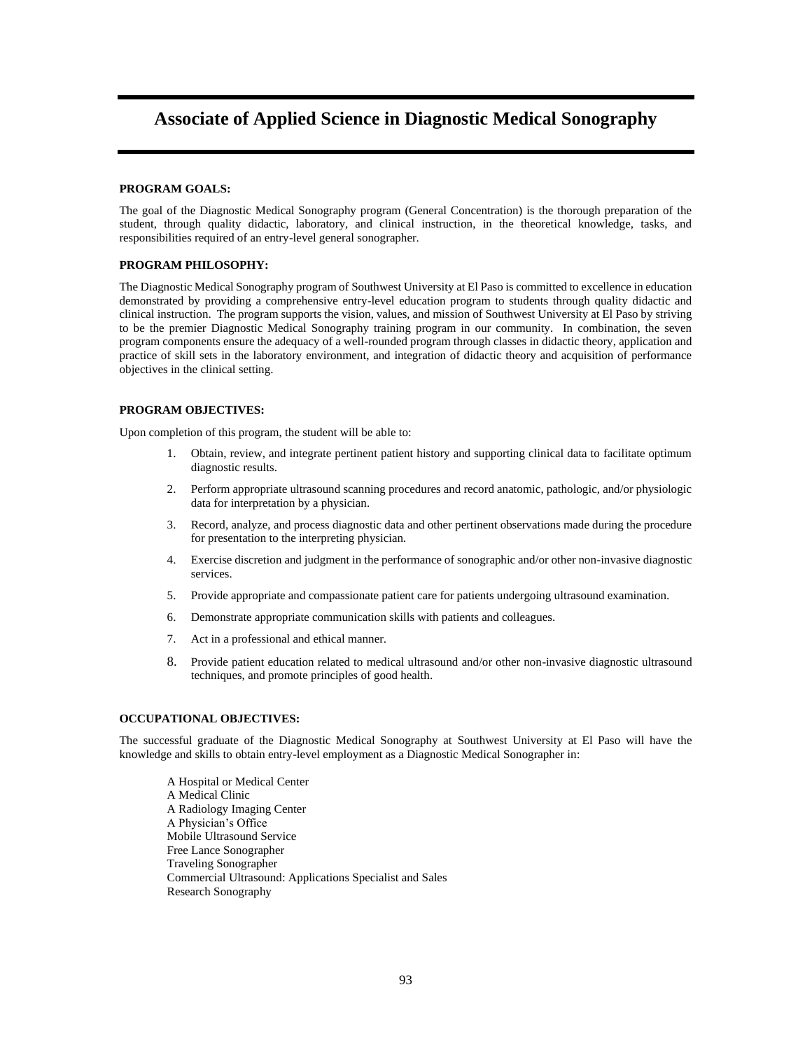# **Associate of Applied Science in Diagnostic Medical Sonography**

#### **PROGRAM GOALS:**

The goal of the Diagnostic Medical Sonography program (General Concentration) is the thorough preparation of the student, through quality didactic, laboratory, and clinical instruction, in the theoretical knowledge, tasks, and responsibilities required of an entry-level general sonographer.

#### **PROGRAM PHILOSOPHY:**

The Diagnostic Medical Sonography program of Southwest University at El Paso is committed to excellence in education demonstrated by providing a comprehensive entry-level education program to students through quality didactic and clinical instruction. The program supports the vision, values, and mission of Southwest University at El Paso by striving to be the premier Diagnostic Medical Sonography training program in our community. In combination, the seven program components ensure the adequacy of a well-rounded program through classes in didactic theory, application and practice of skill sets in the laboratory environment, and integration of didactic theory and acquisition of performance objectives in the clinical setting.

#### **PROGRAM OBJECTIVES:**

Upon completion of this program, the student will be able to:

- 1. Obtain, review, and integrate pertinent patient history and supporting clinical data to facilitate optimum diagnostic results.
- 2. Perform appropriate ultrasound scanning procedures and record anatomic, pathologic, and/or physiologic data for interpretation by a physician.
- 3. Record, analyze, and process diagnostic data and other pertinent observations made during the procedure for presentation to the interpreting physician.
- 4. Exercise discretion and judgment in the performance of sonographic and/or other non-invasive diagnostic services.
- 5. Provide appropriate and compassionate patient care for patients undergoing ultrasound examination.
- 6. Demonstrate appropriate communication skills with patients and colleagues.
- 7. Act in a professional and ethical manner.
- 8. Provide patient education related to medical ultrasound and/or other non-invasive diagnostic ultrasound techniques, and promote principles of good health.

#### **OCCUPATIONAL OBJECTIVES:**

The successful graduate of the Diagnostic Medical Sonography at Southwest University at El Paso will have the knowledge and skills to obtain entry-level employment as a Diagnostic Medical Sonographer in:

A Hospital or Medical Center A Medical Clinic A Radiology Imaging Center A Physician's Office Mobile Ultrasound Service Free Lance Sonographer Traveling Sonographer Commercial Ultrasound: Applications Specialist and Sales Research Sonography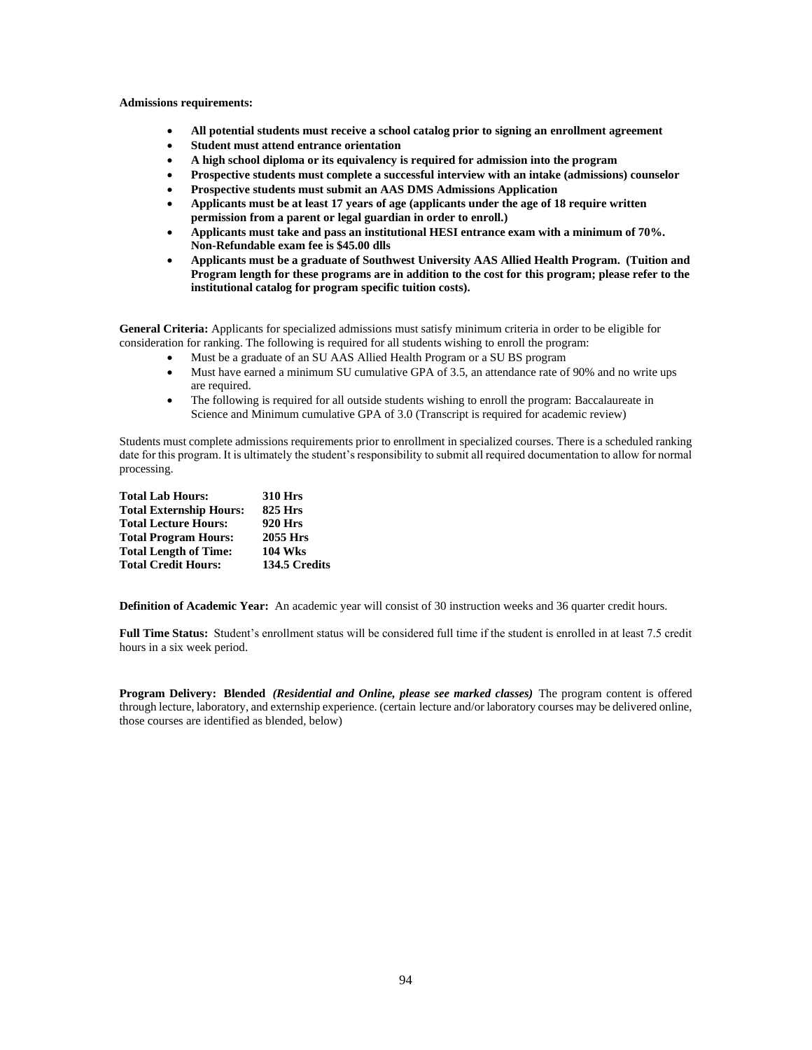#### **Admissions requirements:**

- **All potential students must receive a school catalog prior to signing an enrollment agreement**
- **Student must attend entrance orientation**
- **A high school diploma or its equivalency is required for admission into the program**
- **Prospective students must complete a successful interview with an intake (admissions) counselor**
- **Prospective students must submit an AAS DMS Admissions Application**
- **Applicants must be at least 17 years of age (applicants under the age of 18 require written permission from a parent or legal guardian in order to enroll.)**
- **Applicants must take and pass an institutional HESI entrance exam with a minimum of 70%. Non-Refundable exam fee is \$45.00 dlls**
- **Applicants must be a graduate of Southwest University AAS Allied Health Program. (Tuition and Program length for these programs are in addition to the cost for this program; please refer to the institutional catalog for program specific tuition costs).**

**General Criteria:** Applicants for specialized admissions must satisfy minimum criteria in order to be eligible for consideration for ranking. The following is required for all students wishing to enroll the program:

- Must be a graduate of an SU AAS Allied Health Program or a SU BS program
- Must have earned a minimum SU cumulative GPA of 3.5, an attendance rate of 90% and no write ups are required.
- The following is required for all outside students wishing to enroll the program: Baccalaureate in Science and Minimum cumulative GPA of 3.0 (Transcript is required for academic review)

Students must complete admissions requirements prior to enrollment in specialized courses. There is a scheduled ranking date for this program. It is ultimately the student's responsibility to submit all required documentation to allow for normal processing.

| <b>Total Lab Hours:</b>        | <b>310 Hrs</b> |
|--------------------------------|----------------|
| <b>Total Externship Hours:</b> | <b>825 Hrs</b> |
| <b>Total Lecture Hours:</b>    | <b>920 Hrs</b> |
| <b>Total Program Hours:</b>    | 2055 Hrs       |
| <b>Total Length of Time:</b>   | <b>104 Wks</b> |
| <b>Total Credit Hours:</b>     | 134.5 Credits  |

**Definition of Academic Year:** An academic year will consist of 30 instruction weeks and 36 quarter credit hours.

**Full Time Status:** Student's enrollment status will be considered full time if the student is enrolled in at least 7.5 credit hours in a six week period.

**Program Delivery: Blended** *(Residential and Online, please see marked classes)* The program content is offered through lecture, laboratory, and externship experience. (certain lecture and/or laboratory courses may be delivered online, those courses are identified as blended, below)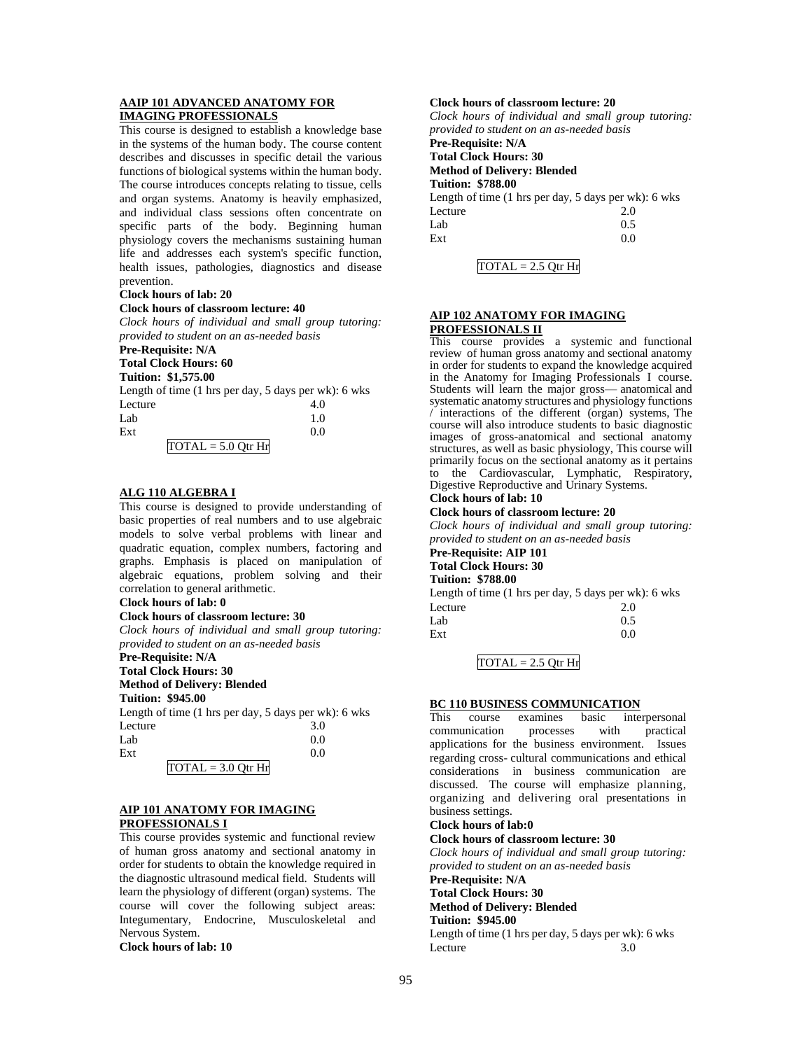### **AAIP 101 ADVANCED ANATOMY FOR IMAGING PROFESSIONALS**

This course is designed to establish a knowledge base in the systems of the human body. The course content describes and discusses in specific detail the various functions of biological systems within the human body. The course introduces concepts relating to tissue, cells and organ systems. Anatomy is heavily emphasized, and individual class sessions often concentrate on specific parts of the body. Beginning human physiology covers the mechanisms sustaining human life and addresses each system's specific function, health issues, pathologies, diagnostics and disease prevention.

#### **Clock hours of lab: 20**

#### **Clock hours of classroom lecture: 40**

*Clock hours of individual and small group tutoring: provided to student on an as-needed basis*

**Pre-Requisite: N/A**

# **Total Clock Hours: 60**

| <b>Tuition: \$1,575.00</b>                                              |     |
|-------------------------------------------------------------------------|-----|
| Length of time $(1 \text{ hrs per day}, 5 \text{ days per wk})$ : 6 wks |     |
| Lecture                                                                 | 4.0 |
| Lab                                                                     | 1.0 |
| Ext                                                                     | 0.0 |
| $\sim$ $\sim$ $\sim$ $\sim$ $\sim$                                      |     |

#### $\text{TOTAL} = 5.0 \text{ Qtr} \text{Hr}$

#### **ALG 110 ALGEBRA I**

This course is designed to provide understanding of basic properties of real numbers and to use algebraic models to solve verbal problems with linear and quadratic equation, complex numbers, factoring and graphs. Emphasis is placed on manipulation of algebraic equations, problem solving and their correlation to general arithmetic.

## **Clock hours of lab: 0**

### **Clock hours of classroom lecture: 30**

*Clock hours of individual and small group tutoring: provided to student on an as-needed basis*

# **Pre-Requisite: N/A**

**Total Clock Hours: 30**

#### **Method of Delivery: Blended Tuition: \$945.00**

Length of time (1 hrs per day, 5 days per wk): 6 wks Lecture 3.0  $Lab$  0.0

| Ext |                      |  |
|-----|----------------------|--|
|     | $TOTAL = 3.0$ Otr Hr |  |

#### **AIP 101 ANATOMY FOR IMAGING PROFESSIONALS I**

This course provides systemic and functional review of human gross anatomy and sectional anatomy in order for students to obtain the knowledge required in the diagnostic ultrasound medical field. Students will learn the physiology of different (organ) systems. The course will cover the following subject areas: Integumentary, Endocrine, Musculoskeletal and Nervous System.

**Clock hours of lab: 10**

# **Clock hours of classroom lecture: 20**

*Clock hours of individual and small group tutoring: provided to student on an as-needed basis* **Pre-Requisite: N/A Total Clock Hours: 30 Method of Delivery: Blended Tuition: \$788.00** Length of time (1 hrs per day, 5 days per wk): 6 wks Lecture  $2.0$ 

| .   |     |
|-----|-----|
| Lab | 0.5 |
| Ext | 0.0 |
|     |     |

 $TOTAL = 2.5 Qtr Hr$ 

### **AIP 102 ANATOMY FOR IMAGING PROFESSIONALS II**

This course provides a systemic and functional review of human gross anatomy and sectional anatomy in order for students to expand the knowledge acquired in the Anatomy for Imaging Professionals I course. Students will learn the major gross— anatomical and systematic anatomy structures and physiology functions / interactions of the different (organ) systems, The course will also introduce students to basic diagnostic images of gross-anatomical and sectional anatomy structures, as well as basic physiology, This course will primarily focus on the sectional anatomy as it pertains to the Cardiovascular, Lymphatic, Respiratory, Digestive Reproductive and Urinary Systems.

#### **Clock hours of lab: 10**

### **Clock hours of classroom lecture: 20**

*Clock hours of individual and small group tutoring: provided to student on an as-needed basis*

**Pre-Requisite: AIP 101 Total Clock Hours: 30**

### **Tuition: \$788.00**

Length of time (1 hrs per day, 5 days per wk): 6 wks Lecture 2.0  $Lab$  0.5  $\text{Ext}$  0.0

 $TOTAL = 2.5 Qtr Hr$ 

### **BC 110 BUSINESS COMMUNICATION**

This course examines basic interpersonal<br>communication processes with practical communication processes with practical applications for the business environment. Issues regarding cross- cultural communications and ethical considerations in business communication are discussed. The course will emphasize planning, organizing and delivering oral presentations in business settings.

#### **Clock hours of lab:0**

#### **Clock hours of classroom lecture: 30**

*Clock hours of individual and small group tutoring: provided to student on an as-needed basis* **Pre-Requisite: N/A Total Clock Hours: 30 Method of Delivery: Blended Tuition: \$945.00** Length of time (1 hrs per day, 5 days per wk): 6 wks Lecture 3.0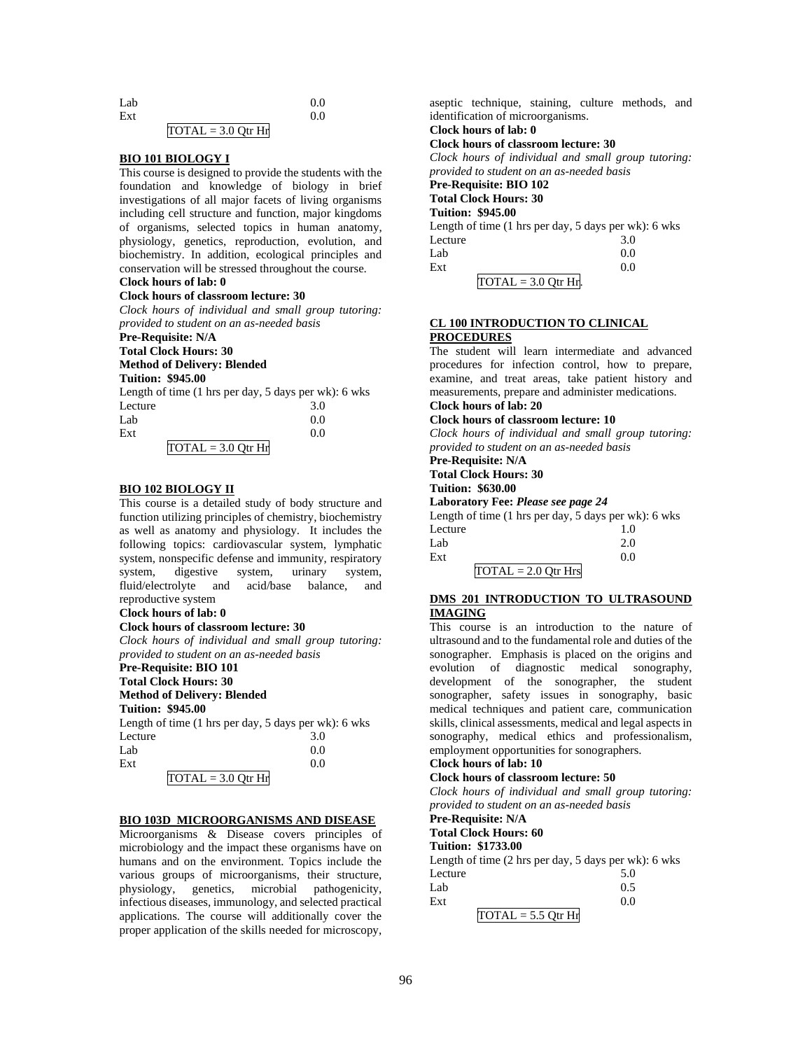| Lab |                                         |     | 0.0 |
|-----|-----------------------------------------|-----|-----|
| Ext |                                         |     | 0.0 |
|     | $m \wedge m \wedge r$ $\wedge$ $\wedge$ | $-$ |     |

## $\text{TOTAL} = 3.0 \text{ Qtr Hr}$

### **BIO 101 BIOLOGY I**

This course is designed to provide the students with the foundation and knowledge of biology in brief investigations of all major facets of living organisms including cell structure and function, major kingdoms of organisms, selected topics in human anatomy, physiology, genetics, reproduction, evolution, and biochemistry. In addition, ecological principles and conservation will be stressed throughout the course.

# **Clock hours of lab: 0**

# **Clock hours of classroom lecture: 30**

*Clock hours of individual and small group tutoring: provided to student on an as-needed basis*

# **Pre-Requisite: N/A**

**Total Clock Hours: 30**

# **Method of Delivery: Blended**

**Tuition: \$945.00**

| Length of time $(1 \text{ hrs per day}, 5 \text{ days per wk})$ : 6 wks |     |
|-------------------------------------------------------------------------|-----|
| Lecture                                                                 | 3.0 |
| Lab                                                                     | 0.0 |
| Ext                                                                     | 0.0 |
|                                                                         |     |

# $TOTAL = 3.0 Qtr Hr$

#### **BIO 102 BIOLOGY II**

This course is a detailed study of body structure and function utilizing principles of chemistry, biochemistry as well as anatomy and physiology. It includes the following topics: cardiovascular system, lymphatic system, nonspecific defense and immunity, respiratory system, digestive system, urinary system, fluid/electrolyte and acid/base balance, and reproductive system

#### **Clock hours of lab: 0**

### **Clock hours of classroom lecture: 30**

*Clock hours of individual and small group tutoring: provided to student on an as-needed basis*

# **Pre-Requisite: BIO 101**

**Total Clock Hours: 30**

### **Method of Delivery: Blended Tuition: \$945.00**

Length of time (1 hrs per day, 5 days per wk): 6 wks

| Length of this (1 ms per day, $\sigma$ days per way. $\sigma$ |     |
|---------------------------------------------------------------|-----|
| Lecture                                                       | 3.0 |
| Lab                                                           | 0.0 |
| Ext                                                           | 0.0 |
| $TOTAL = 3.0 Qtr Hr$                                          |     |

#### **BIO 103D MICROORGANISMS AND DISEASE**

Microorganisms & Disease covers principles of microbiology and the impact these organisms have on humans and on the environment. Topics include the various groups of microorganisms, their structure, physiology, genetics, microbial pathogenicity, infectious diseases, immunology, and selected practical applications. The course will additionally cover the proper application of the skills needed for microscopy,

aseptic technique, staining, culture methods, and identification of microorganisms. **Clock hours of lab: 0**

**Clock hours of classroom lecture: 30** *Clock hours of individual and small group tutoring: provided to student on an as-needed basis*

**Pre-Requisite: BIO 102** 

**Total Clock Hours: 30**

**Tuition: \$945.00**

| Length of time (1 hrs per day, 5 days per wk): 6 wks |     |
|------------------------------------------------------|-----|
| Lecture                                              | 3.0 |
| Lab                                                  | 0.0 |
| Ext                                                  | 0.0 |
|                                                      |     |

 $TOTAL = 3.0 Qtr Hr$ .

### **CL 100 INTRODUCTION TO CLINICAL PROCEDURES**

The student will learn intermediate and advanced procedures for infection control, how to prepare, examine, and treat areas, take patient history and measurements, prepare and administer medications.

#### **Clock hours of lab: 20 Clock hours of classroom lecture: 10**

*Clock hours of individual and small group tutoring: provided to student on an as-needed basis*

# **Pre-Requisite: N/A**

#### **Total Clock Hours: 30 Tuition: \$630.00**

**Laboratory Fee:** *Please see page 24*

Length of time (1 hrs per day, 5 days per wk): 6 wks

| $\frac{1}{2}$ $\frac{1}{2}$ $\frac{1}{2}$ $\frac{1}{2}$ $\frac{1}{2}$ $\frac{1}{2}$ $\frac{1}{2}$ $\frac{1}{2}$ $\frac{1}{2}$ $\frac{1}{2}$ $\frac{1}{2}$ $\frac{1}{2}$ $\frac{1}{2}$ $\frac{1}{2}$ $\frac{1}{2}$ $\frac{1}{2}$ $\frac{1}{2}$ $\frac{1}{2}$ $\frac{1}{2}$ $\frac{1}{2}$ $\frac{1}{2}$ $\frac{1}{2}$ |     |
|---------------------------------------------------------------------------------------------------------------------------------------------------------------------------------------------------------------------------------------------------------------------------------------------------------------------|-----|
| Lecture                                                                                                                                                                                                                                                                                                             | 1.0 |
| Lab                                                                                                                                                                                                                                                                                                                 | 2.0 |
| Ext                                                                                                                                                                                                                                                                                                                 | 0.0 |
| $TOTAL = 2.0 Qtr Hrs$                                                                                                                                                                                                                                                                                               |     |

### **DMS 201 INTRODUCTION TO ULTRASOUND IMAGING**

This course is an introduction to the nature of ultrasound and to the fundamental role and duties of the sonographer. Emphasis is placed on the origins and evolution of diagnostic medical sonography, development of the sonographer, the student sonographer, safety issues in sonography, basic medical techniques and patient care, communication skills, clinical assessments, medical and legal aspects in sonography, medical ethics and professionalism, employment opportunities for sonographers.

# **Clock hours of lab: 10**

### **Clock hours of classroom lecture: 50**

*Clock hours of individual and small group tutoring: provided to student on an as-needed basis*

# **Pre-Requisite: N/A**

# **Total Clock Hours: 60**

**Tuition: \$1733.00**

Length of time (2 hrs per day, 5 days per wk): 6 wks  $L_{\text{ecture}}$ 

| ______               | - - - - - |
|----------------------|-----------|
| Lab                  | 0.5       |
| Ext                  | 0.0       |
| $TOTAL = 5.5 Qtr Hr$ |           |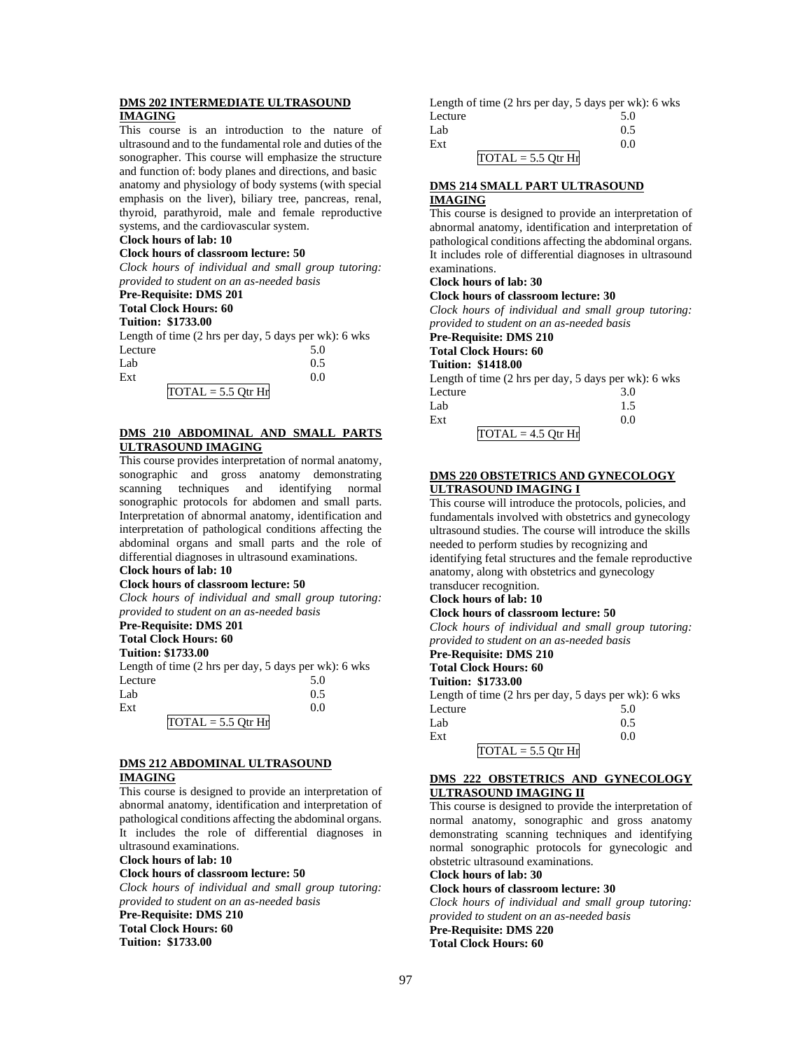### **DMS 202 INTERMEDIATE ULTRASOUND IMAGING**

This course is an introduction to the nature of ultrasound and to the fundamental role and duties of the sonographer. This course will emphasize the structure and function of: body planes and directions, and basic anatomy and physiology of body systems (with special emphasis on the liver), biliary tree, pancreas, renal, thyroid, parathyroid, male and female reproductive systems, and the cardiovascular system.

## **Clock hours of lab: 10**

#### **Clock hours of classroom lecture: 50**

*Clock hours of individual and small group tutoring: provided to student on an as-needed basis*

#### **Pre-Requisite: DMS 201**

**Total Clock Hours: 60**

#### **Tuition: \$1733.00**

Length of time (2 hrs per day, 5 days per wk): 6 wks Lecture 5.0  $Lab$  0.5  $\text{Ext}$  0.0

# $TOTAL = 5.5 Qtr Hr$

#### **DMS 210 ABDOMINAL AND SMALL PARTS ULTRASOUND IMAGING**

This course provides interpretation of normal anatomy, sonographic and gross anatomy demonstrating scanning techniques and identifying normal sonographic protocols for abdomen and small parts. Interpretation of abnormal anatomy, identification and interpretation of pathological conditions affecting the abdominal organs and small parts and the role of differential diagnoses in ultrasound examinations.

# **Clock hours of lab: 10**

## **Clock hours of classroom lecture: 50**

*Clock hours of individual and small group tutoring: provided to student on an as-needed basis*

# **Pre-Requisite: DMS 201**

**Total Clock Hours: 60**

## **Tuition: \$1733.00**

Length of time (2 hrs per day, 5 days per wk): 6 wks Lecture  $5.0$  $Lab$  0.5  $\text{Ext}$  0.0  $\overline{TOTAL} = 5.5$  Qtr Hr

#### **DMS 212 ABDOMINAL ULTRASOUND IMAGING**

This course is designed to provide an interpretation of abnormal anatomy, identification and interpretation of pathological conditions affecting the abdominal organs. It includes the role of differential diagnoses in ultrasound examinations.

#### **Clock hours of lab: 10**

**Clock hours of classroom lecture: 50**

*Clock hours of individual and small group tutoring: provided to student on an as-needed basis*

# **Pre-Requisite: DMS 210**

**Total Clock Hours: 60 Tuition: \$1733.00**

| Length of time $(2 \text{ hrs per day}, 5 \text{ days per wk})$ : 6 wks |     |
|-------------------------------------------------------------------------|-----|
| Lecture                                                                 | 5.0 |
| Lab                                                                     | 0.5 |
| Ext                                                                     | 00  |
| $=$ $ \sim$<br><b>mom</b> + T                                           |     |

 $\text{TOTAL} = 5.5 \text{ Qtr Hr}$ 

### **DMS 214 SMALL PART ULTRASOUND IMAGING**

This course is designed to provide an interpretation of abnormal anatomy, identification and interpretation of pathological conditions affecting the abdominal organs. It includes role of differential diagnoses in ultrasound examinations.

**Clock hours of lab: 30**

**Clock hours of classroom lecture: 30**

*Clock hours of individual and small group tutoring: provided to student on an as-needed basis*

**Pre-Requisite: DMS 210**

# **Total Clock Hours: 60**

**Tuition: \$1418.00** Length of time (2 hrs per day, 5 days per wk): 6 wks Lecture 3.0 Lab  $1.5$  $\text{Ext}$  0.0

|  | `A I<br>∆ווי |  | Otr F | 117 |
|--|--------------|--|-------|-----|
|--|--------------|--|-------|-----|

### **DMS 220 OBSTETRICS AND GYNECOLOGY ULTRASOUND IMAGING I**

This course will introduce the protocols, policies, and fundamentals involved with obstetrics and gynecology ultrasound studies. The course will introduce the skills needed to perform studies by recognizing and identifying fetal structures and the female reproductive anatomy, along with obstetrics and gynecology transducer recognition.

### **Clock hours of lab: 10**

### **Clock hours of classroom lecture: 50**

*Clock hours of individual and small group tutoring: provided to student on an as-needed basis*

# **Pre-Requisite: DMS 210**

# **Total Clock Hours: 60**

**Tuition: \$1733.00** Length of time  $(2 \text{ hrs per day } 5 \text{ days per wk})$ : 6 wks

| Lengur or three $(z \text{ ms per day}, z \text{ days per why})$ . |     |
|--------------------------------------------------------------------|-----|
| Lecture                                                            | 5.0 |
| Lab                                                                | 0.5 |
| Ext                                                                | 0.0 |
| $TOTAL = 5.5 Qtr Hr$                                               |     |

### **DMS 222 OBSTETRICS AND GYNECOLOGY ULTRASOUND IMAGING II**

This course is designed to provide the interpretation of normal anatomy, sonographic and gross anatomy demonstrating scanning techniques and identifying normal sonographic protocols for gynecologic and obstetric ultrasound examinations.

### **Clock hours of lab: 30**

**Clock hours of classroom lecture: 30**

*Clock hours of individual and small group tutoring: provided to student on an as-needed basis*

# **Pre-Requisite: DMS 220**

**Total Clock Hours: 60**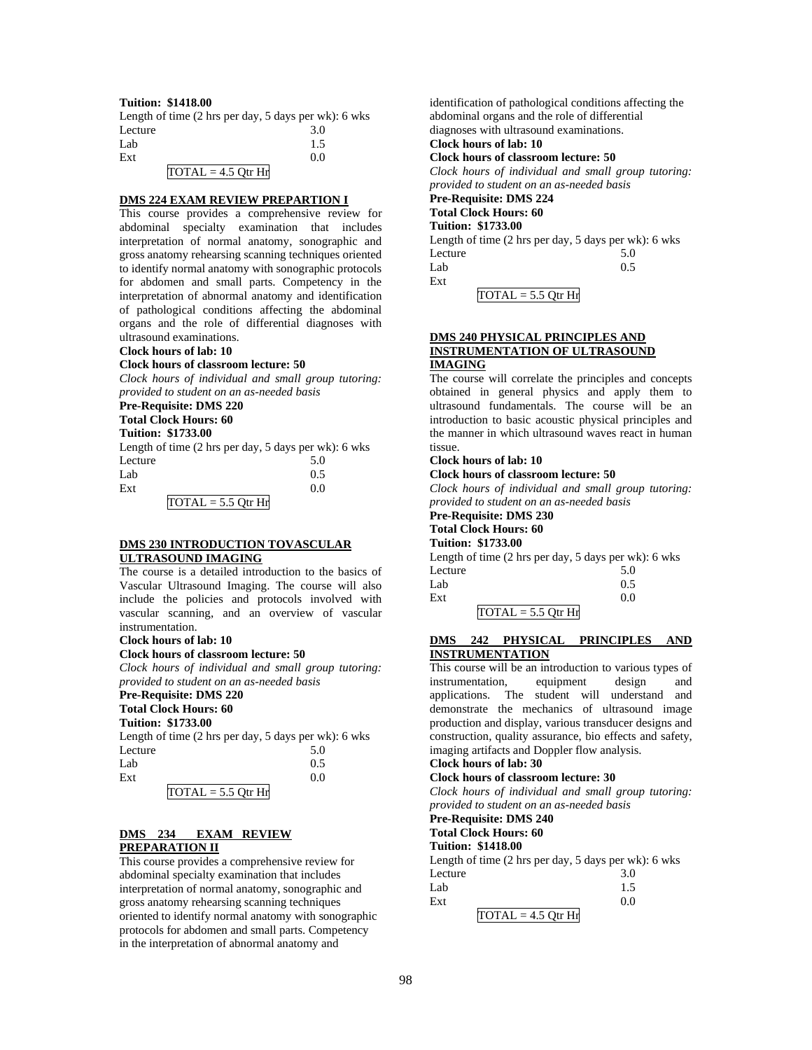#### **Tuition: \$1418.00**

Length of time (2 hrs per day, 5 days per wk): 6 wks Lecture 3.0

| Lab |                                     | 1.5 |
|-----|-------------------------------------|-----|
| Ext |                                     | 0.0 |
|     | $\text{TOTAL} = 4.5 \text{ Qtr Hr}$ |     |

#### **DMS 224 EXAM REVIEW PREPARTION I**

This course provides a comprehensive review for abdominal specialty examination that includes interpretation of normal anatomy, sonographic and gross anatomy rehearsing scanning techniques oriented to identify normal anatomy with sonographic protocols for abdomen and small parts. Competency in the interpretation of abnormal anatomy and identification of pathological conditions affecting the abdominal organs and the role of differential diagnoses with ultrasound examinations.

#### **Clock hours of lab: 10**

#### **Clock hours of classroom lecture: 50**

*Clock hours of individual and small group tutoring: provided to student on an as-needed basis*

# **Pre-Requisite: DMS 220**

**Total Clock Hours: 60**

# **Tuition: \$1733.00**

Length of time (2 hrs per day, 5 days per wk): 6 wks Lecture 5.0  $Lab$  0.5  $\text{Ext}$  0.0

 $TOTAL = 5.5 Qtr Hr$ 

#### **DMS 230 INTRODUCTION TOVASCULAR ULTRASOUND IMAGING**

The course is a detailed introduction to the basics of Vascular Ultrasound Imaging. The course will also include the policies and protocols involved with vascular scanning, and an overview of vascular instrumentation.

#### **Clock hours of lab: 10**

#### **Clock hours of classroom lecture: 50**

*Clock hours of individual and small group tutoring: provided to student on an as-needed basis*

## **Pre-Requisite: DMS 220**

**Total Clock Hours: 60**

# **Tuition: \$1733.00**

|         | Length of time $(2 \text{ hrs per day}, 5 \text{ days per wk})$ : 6 wks |
|---------|-------------------------------------------------------------------------|
| Lecture | 5.0                                                                     |
| Lab     | 0.5                                                                     |
| Ext     | 0.0                                                                     |
| .       | $=$ $ \sim$                                                             |

# $TOTAL = 5.5 Qtr Hr$

### **DMS 234 EXAM REVIEW PREPARATION II**

This course provides a comprehensive review for abdominal specialty examination that includes interpretation of normal anatomy, sonographic and gross anatomy rehearsing scanning techniques oriented to identify normal anatomy with sonographic protocols for abdomen and small parts. Competency in the interpretation of abnormal anatomy and

identification of pathological conditions affecting the abdominal organs and the role of differential diagnoses with ultrasound examinations.

# **Clock hours of lab: 10**

**Clock hours of classroom lecture: 50**

*Clock hours of individual and small group tutoring: provided to student on an as-needed basis* **Pre-Requisite: DMS 224**

# **Total Clock Hours: 60**

## **Tuition: \$1733.00**

| Length of time $(2 \text{ hrs per day}, 5 \text{ days per wk})$ : 6 wks |     |
|-------------------------------------------------------------------------|-----|
| Lecture                                                                 | 5.0 |
| Lab                                                                     | 0.5 |
| Ext                                                                     |     |
| $TOTAL = 5.5 Qtr Hr$                                                    |     |

#### **DMS 240 PHYSICAL PRINCIPLES AND INSTRUMENTATION OF ULTRASOUND IMAGING**

The course will correlate the principles and concepts obtained in general physics and apply them to ultrasound fundamentals. The course will be an introduction to basic acoustic physical principles and the manner in which ultrasound waves react in human tissue.

# **Clock hours of lab: 10**

# **Clock hours of classroom lecture: 50**

*Clock hours of individual and small group tutoring: provided to student on an as-needed basis*

## **Pre-Requisite: DMS 230 Total Clock Hours: 60**

# **Tuition: \$1733.00**

Length of time (2 hrs per day, 5 days per wk): 6 wks Lecture 5.0  $Lab$  0.5  $\text{Ext}$  0.0  $TOTAL = 5.5$  Qtr Hr

# **DMS 242 PHYSICAL PRINCIPLES AND INSTRUMENTATION**

This course will be an introduction to various types of instrumentation, equipment design and applications. The student will understand and demonstrate the mechanics of ultrasound image production and display, various transducer designs and construction, quality assurance, bio effects and safety, imaging artifacts and Doppler flow analysis.

# **Clock hours of lab: 30**

# **Clock hours of classroom lecture: 30**

*Clock hours of individual and small group tutoring: provided to student on an as-needed basis*

# **Pre-Requisite: DMS 240**

# **Total Clock Hours: 60**

**Tuition: \$1418.00**

Length of time (2 hrs per day, 5 days per wk): 6 wks Lecture 3.0

| -------              | .   |
|----------------------|-----|
| Lab                  | 1.5 |
| Ext                  | 0.0 |
| $TOTAL = 4.5 Qtr Hr$ |     |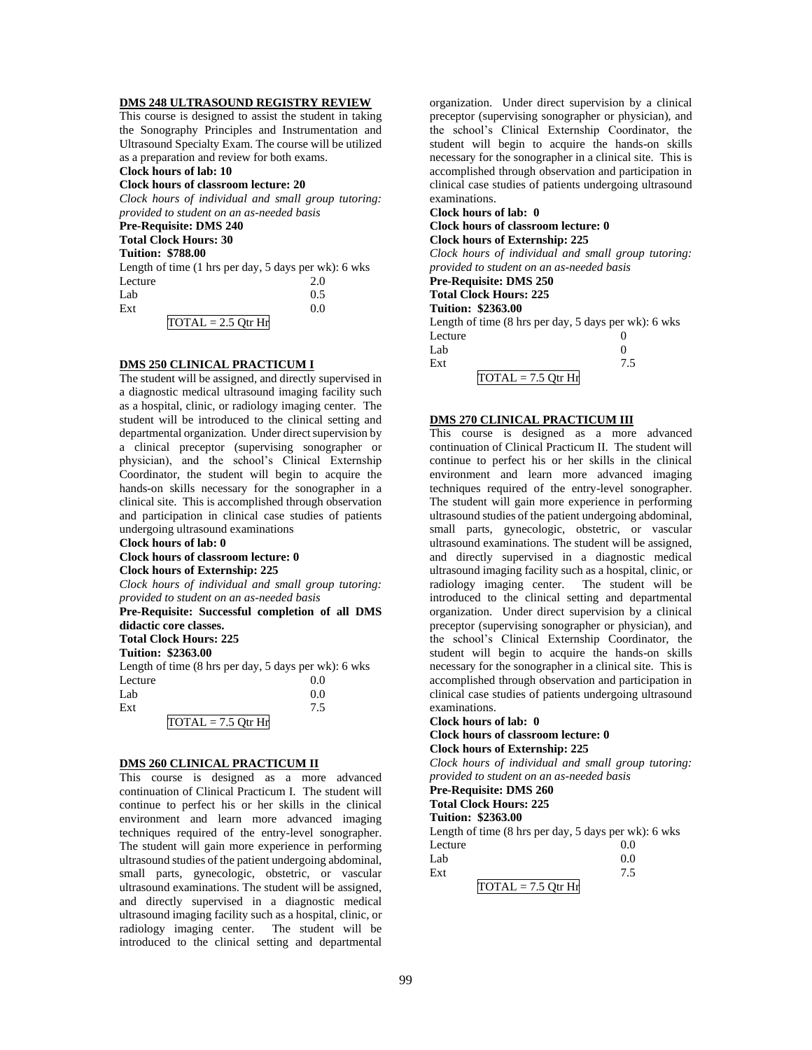#### **DMS 248 ULTRASOUND REGISTRY REVIEW**

This course is designed to assist the student in taking the Sonography Principles and Instrumentation and Ultrasound Specialty Exam. The course will be utilized as a preparation and review for both exams.

#### **Clock hours of lab: 10**

#### **Clock hours of classroom lecture: 20**

*Clock hours of individual and small group tutoring: provided to student on an as-needed basis*

# **Pre-Requisite: DMS 240**

**Total Clock Hours: 30**

### **Tuition: \$788.00**

Length of time (1 hrs per day, 5 days per wk): 6 wks Lecture 2.0  $Lab$  0.5  $\text{Ext}$  0.0

 $TOTAL = 2.5 Qtr Hr$ 

## **DMS 250 CLINICAL PRACTICUM I**

The student will be assigned, and directly supervised in a diagnostic medical ultrasound imaging facility such as a hospital, clinic, or radiology imaging center. The student will be introduced to the clinical setting and departmental organization. Under direct supervision by a clinical preceptor (supervising sonographer or physician), and the school's Clinical Externship Coordinator, the student will begin to acquire the hands-on skills necessary for the sonographer in a clinical site. This is accomplished through observation and participation in clinical case studies of patients undergoing ultrasound examinations

#### **Clock hours of lab: 0**

#### **Clock hours of classroom lecture: 0 Clock hours of Externship: 225**

*Clock hours of individual and small group tutoring: provided to student on an as-needed basis*

**Pre-Requisite: Successful completion of all DMS didactic core classes.**

#### **Total Clock Hours: 225**

#### **Tuition: \$2363.00**

|                      | Length of time (8 hrs per day, 5 days per wk): 6 wks |
|----------------------|------------------------------------------------------|
| Lecture              | 0.0                                                  |
| Lab                  | 0.0                                                  |
| Ext                  | 7.5                                                  |
| $TOTAL = 7.5 Qtr Hr$ |                                                      |

## **DMS 260 CLINICAL PRACTICUM II**

This course is designed as a more advanced continuation of Clinical Practicum I. The student will continue to perfect his or her skills in the clinical environment and learn more advanced imaging techniques required of the entry-level sonographer. The student will gain more experience in performing ultrasound studies of the patient undergoing abdominal, small parts, gynecologic, obstetric, or vascular ultrasound examinations. The student will be assigned, and directly supervised in a diagnostic medical ultrasound imaging facility such as a hospital, clinic, or radiology imaging center. The student will be introduced to the clinical setting and departmental

organization. Under direct supervision by a clinical preceptor (supervising sonographer or physician), and the school's Clinical Externship Coordinator, the student will begin to acquire the hands-on skills necessary for the sonographer in a clinical site. This is accomplished through observation and participation in clinical case studies of patients undergoing ultrasound examinations.

#### **Clock hours of lab: 0 Clock hours of classroom lecture: 0 Clock hours of Externship: 225**

*Clock hours of individual and small group tutoring: provided to student on an as-needed basis*

# **Pre-Requisite: DMS 250 Total Clock Hours: 225**

**Tuition: \$2363.00**

Length of time (8 hrs per day, 5 days per wk): 6 wks Lecture 0  $Lab$  0

| Ext |                      |  |
|-----|----------------------|--|
|     | $TOTAL = 7.5$ Otr Hr |  |

### **DMS 270 CLINICAL PRACTICUM III**

This course is designed as a more advanced continuation of Clinical Practicum II. The student will continue to perfect his or her skills in the clinical environment and learn more advanced imaging techniques required of the entry-level sonographer. The student will gain more experience in performing ultrasound studies of the patient undergoing abdominal, small parts, gynecologic, obstetric, or vascular ultrasound examinations. The student will be assigned, and directly supervised in a diagnostic medical ultrasound imaging facility such as a hospital, clinic, or radiology imaging center. The student will be introduced to the clinical setting and departmental organization. Under direct supervision by a clinical preceptor (supervising sonographer or physician), and the school's Clinical Externship Coordinator, the student will begin to acquire the hands-on skills necessary for the sonographer in a clinical site. This is accomplished through observation and participation in clinical case studies of patients undergoing ultrasound examinations.

#### **Clock hours of lab: 0**

## **Clock hours of classroom lecture: 0 Clock hours of Externship: 225**

*Clock hours of individual and small group tutoring: provided to student on an as-needed basis*

# **Pre-Requisite: DMS 260**

# **Total Clock Hours: 225**

**Tuition: \$2363.00**

| Length of time $(8 \text{ hrs per day}, 5 \text{ days per wk})$ : 6 wks |     |
|-------------------------------------------------------------------------|-----|
| Lecture                                                                 | 00  |
| Lab                                                                     | 0.0 |
| Ext                                                                     | 7.5 |

 $TOTAL = 7.5$  Qtr Hr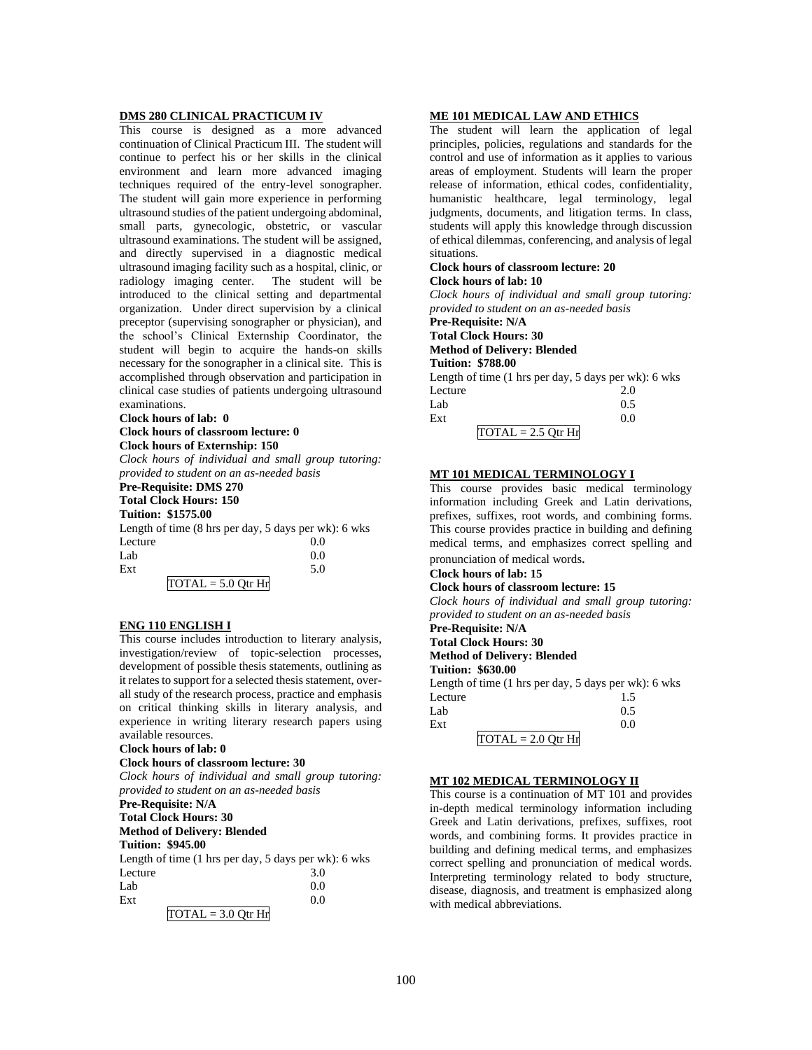#### **DMS 280 CLINICAL PRACTICUM IV**

This course is designed as a more advanced continuation of Clinical Practicum III. The student will continue to perfect his or her skills in the clinical environment and learn more advanced imaging techniques required of the entry-level sonographer. The student will gain more experience in performing ultrasound studies of the patient undergoing abdominal, small parts, gynecologic, obstetric, or vascular ultrasound examinations. The student will be assigned, and directly supervised in a diagnostic medical ultrasound imaging facility such as a hospital, clinic, or radiology imaging center. The student will be introduced to the clinical setting and departmental organization. Under direct supervision by a clinical preceptor (supervising sonographer or physician), and the school's Clinical Externship Coordinator, the student will begin to acquire the hands-on skills necessary for the sonographer in a clinical site. This is accomplished through observation and participation in clinical case studies of patients undergoing ultrasound examinations.

#### **Clock hours of lab: 0 Clock hours of classroom lecture: 0 Clock hours of Externship: 150**

*Clock hours of individual and small group tutoring: provided to student on an as-needed basis*

## **Pre-Requisite: DMS 270**

**Total Clock Hours: 150**

# **Tuition: \$1575.00**

Length of time (8 hrs per day, 5 days per wk): 6 wks Lecture  $0.0$ 

| <u>Locale</u>        | $v \cdot v$ |
|----------------------|-------------|
| Lab                  | 0.0         |
| Ext                  | 5.0         |
| $TOTAL = 5.0 Qtr Hr$ |             |

#### **ENG 110 ENGLISH I**

This course includes introduction to literary analysis, investigation/review of topic-selection processes, development of possible thesis statements, outlining as it relates to support for a selected thesis statement, overall study of the research process, practice and emphasis on critical thinking skills in literary analysis, and experience in writing literary research papers using available resources.

#### **Clock hours of lab: 0**

#### **Clock hours of classroom lecture: 30**

*Clock hours of individual and small group tutoring: provided to student on an as-needed basis*

#### **Pre-Requisite: N/A Total Clock Hours: 30**

**Method of Delivery: Blended**

#### **Tuition: \$945.00**

Length of time (1 hrs per day, 5 days per wk): 6 wks Lecture 3.0  $Lab$  0.0  $\text{Ext}$  0.0

| $\text{normal} = 3.0 \text{ Otr}^{\mathsf{T}}$ |  |
|------------------------------------------------|--|
|                                                |  |

## **ME 101 MEDICAL LAW AND ETHICS**

The student will learn the application of legal principles, policies, regulations and standards for the control and use of information as it applies to various areas of employment. Students will learn the proper release of information, ethical codes, confidentiality, humanistic healthcare, legal terminology, legal judgments, documents, and litigation terms. In class, students will apply this knowledge through discussion of ethical dilemmas, conferencing, and analysis of legal situations.

# **Clock hours of classroom lecture: 20**

### **Clock hours of lab: 10**

*Clock hours of individual and small group tutoring: provided to student on an as-needed basis*

# **Pre-Requisite: N/A**

**Total Clock Hours: 30**

# **Method of Delivery: Blended**

**Tuition: \$788.00**

Length of time (1 hrs per day, 5 days per wk): 6 wks Lecture  $2.0$  $Lab$  0.5

| Ext |                      |  |
|-----|----------------------|--|
|     | $TOTAL = 2.5 Qtr Hr$ |  |
|     |                      |  |

# **MT 101 MEDICAL TERMINOLOGY I**

This course provides basic medical terminology information including Greek and Latin derivations, prefixes, suffixes, root words, and combining forms. This course provides practice in building and defining medical terms, and emphasizes correct spelling and pronunciation of medical words*.*

#### **Clock hours of lab: 15**

#### **Clock hours of classroom lecture: 15**

*Clock hours of individual and small group tutoring: provided to student on an as-needed basis*

#### **Pre-Requisite: N/A Total Clock Hours: 30**

**Method of Delivery: Blended**

### **Tuition: \$630.00**

Length of time (1 hrs per day, 5 days per wk): 6 wks Lecture 1.5

| Lab |                      | 0.5 |
|-----|----------------------|-----|
| Ext |                      | 0.0 |
|     | $TOTAL = 2.0 Qtr Hr$ |     |

# **MT 102 MEDICAL TERMINOLOGY II**

This course is a continuation of MT 101 and provides in-depth medical terminology information including Greek and Latin derivations, prefixes, suffixes, root words, and combining forms. It provides practice in building and defining medical terms, and emphasizes correct spelling and pronunciation of medical words. Interpreting terminology related to body structure, disease, diagnosis, and treatment is emphasized along with medical abbreviations.